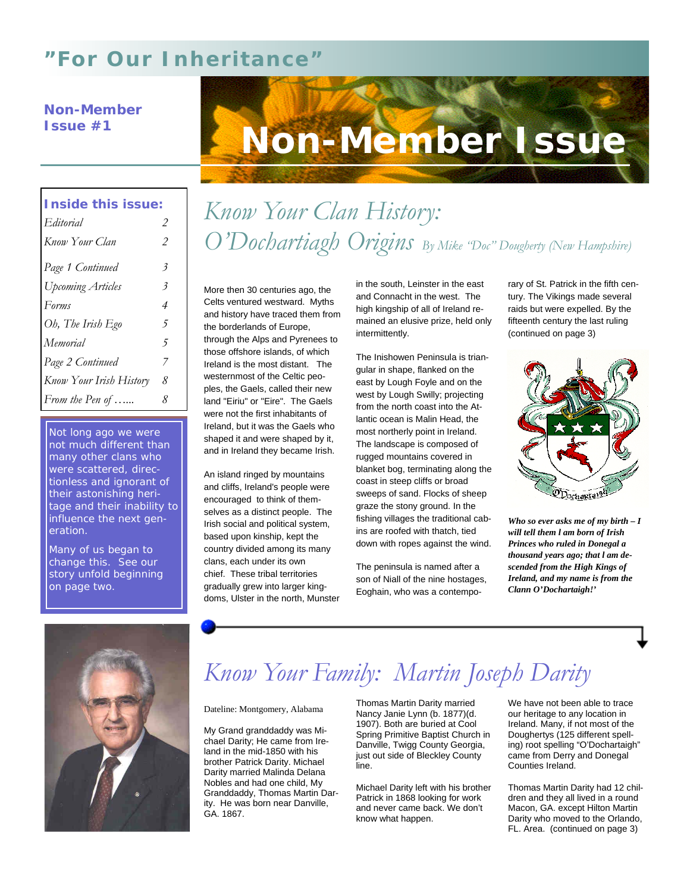### **"For Our Inheritance"**

#### **Non-Member Issue #1**

# **Non-Member Issue**

#### **Inside this issue:**

| Editorial                | $\mathcal{P}$            |
|--------------------------|--------------------------|
| Know Your Clan           | $\mathcal P$             |
| Page 1 Continued         | $\overline{\mathcal{E}}$ |
| <b>Upcoming Articles</b> | 3                        |
| Forms                    | 4                        |
| Oh, The Irish Ego        | 5                        |
| Memorial                 | 5                        |
| Page 2 Continued         | 7                        |
| Know Your Irish History  | 8                        |
| From the Pen of          | 8                        |
|                          |                          |

Not long ago we were not much different than many other clans who were scattered, directionless and ignorant of their astonishing heritage and their inability to influence the next generation.

Many of us began to change this. See our story unfold beginning on page two.

### *Know Your Clan History: O'Dochartiagh Origins By Mike "Doc" Dougherty (New Hampshire)*

More then 30 centuries ago, the Celts ventured westward. Myths and history have traced them from the borderlands of Europe, through the Alps and Pyrenees to those offshore islands, of which Ireland is the most distant. The westernmost of the Celtic peoples, the Gaels, called their new land "Eiriu" or "Eire". The Gaels were not the first inhabitants of Ireland, but it was the Gaels who shaped it and were shaped by it, and in Ireland they became Irish.

An island ringed by mountains and cliffs, Ireland's people were encouraged to think of themselves as a distinct people. The Irish social and political system, based upon kinship, kept the country divided among its many clans, each under its own chief. These tribal territories gradually grew into larger kingdoms, Ulster in the north, Munster in the south, Leinster in the east and Connacht in the west. The high kingship of all of Ireland remained an elusive prize, held only intermittently.

The Inishowen Peninsula is triangular in shape, flanked on the east by Lough Foyle and on the west by Lough Swilly; projecting from the north coast into the Atlantic ocean is Malin Head, the most northerly point in Ireland. The landscape is composed of rugged mountains covered in blanket bog, terminating along the coast in steep cliffs or broad sweeps of sand. Flocks of sheep graze the stony ground. In the fishing villages the traditional cabins are roofed with thatch, tied down with ropes against the wind.

The peninsula is named after a son of Niall of the nine hostages, Eoghain, who was a contemporary of St. Patrick in the fifth century. The Vikings made several raids but were expelled. By the fifteenth century the last ruling (continued on page 3)



*Who so ever asks me of my birth – I will tell them l am born of Irish Princes who ruled in Donegal a thousand years ago; that l am descended from the High Kings of Ireland, and my name is from the Clann O'Dochartaigh!'*



## *Know Your Family: Martin Joseph Darity*

Dateline: Montgomery, Alabama

My Grand granddaddy was Michael Darity; He came from Ireland in the mid-1850 with his brother Patrick Darity. Michael Darity married Malinda Delana Nobles and had one child, My Granddaddy, Thomas Martin Darity. He was born near Danville, GA. 1867.

Thomas Martin Darity married Nancy Janie Lynn (b. 1877)(d. 1907). Both are buried at Cool Spring Primitive Baptist Church in Danville, Twigg County Georgia, just out side of Bleckley County line.

Michael Darity left with his brother Patrick in 1868 looking for work and never came back. We don't know what happen.

We have not been able to trace our heritage to any location in Ireland. Many, if not most of the Doughertys (125 different spelling) root spelling "O'Dochartaigh" came from Derry and Donegal Counties Ireland.

Thomas Martin Darity had 12 children and they all lived in a round Macon, GA. except Hilton Martin Darity who moved to the Orlando, FL. Area. (continued on page 3)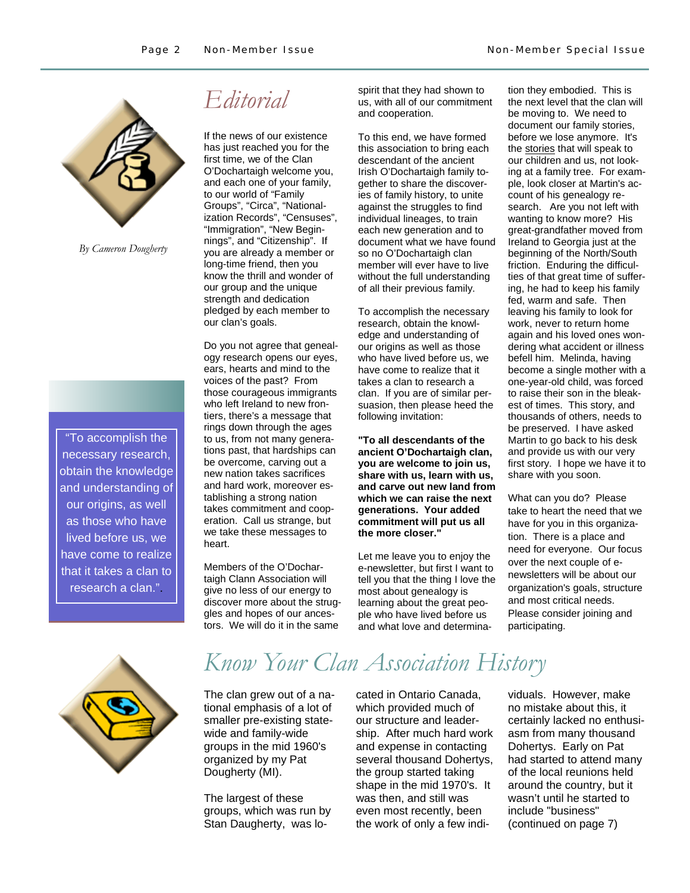

*By Cameron Dougherty* 

"To accomplish the necessary research, obtain the knowledge and understanding of our origins, as well as those who have lived before us, we have come to realize that it takes a clan to research a clan.".

### *Editorial*

If the news of our existence has just reached you for the first time, we of the Clan O'Dochartaigh welcome you, and each one of your family, to our world of "Family Groups", "Circa", "Nationalization Records", "Censuses", "Immigration", "New Beginnings", and "Citizenship". If you are already a member or long-time friend, then you know the thrill and wonder of our group and the unique strength and dedication pledged by each member to our clan's goals.

Do you not agree that genealogy research opens our eyes, ears, hearts and mind to the voices of the past? From those courageous immigrants who left Ireland to new frontiers, there's a message that rings down through the ages to us, from not many generations past, that hardships can be overcome, carving out a new nation takes sacrifices and hard work, moreover establishing a strong nation takes commitment and cooperation. Call us strange, but we take these messages to heart.

Members of the O'Dochartaigh Clann Association will give no less of our energy to discover more about the struggles and hopes of our ancestors. We will do it in the same

spirit that they had shown to us, with all of our commitment and cooperation.

To this end, we have formed this association to bring each descendant of the ancient Irish O'Dochartaigh family together to share the discoveries of family history, to unite against the struggles to find individual lineages, to train each new generation and to document what we have found so no O'Dochartaigh clan member will ever have to live without the full understanding of all their previous family.

To accomplish the necessary research, obtain the knowledge and understanding of our origins as well as those who have lived before us, we have come to realize that it takes a clan to research a clan. If you are of similar persuasion, then please heed the following invitation:

**"To all descendants of the ancient O'Dochartaigh clan, you are welcome to join us, share with us, learn with us, and carve out new land from which we can raise the next generations. Your added commitment will put us all the more closer."** 

Let me leave you to enjoy the e-newsletter, but first I want to tell you that the thing I love the most about genealogy is learning about the great people who have lived before us and what love and determination they embodied. This is the next level that the clan will be moving to. We need to document our family stories, before we lose anymore. It's the stories that will speak to our children and us, not looking at a family tree. For example, look closer at Martin's account of his genealogy research. Are you not left with wanting to know more? His great-grandfather moved from Ireland to Georgia just at the beginning of the North/South friction. Enduring the difficulties of that great time of suffering, he had to keep his family fed, warm and safe. Then leaving his family to look for work, never to return home again and his loved ones wondering what accident or illness befell him. Melinda, having become a single mother with a one-year-old child, was forced to raise their son in the bleakest of times. This story, and thousands of others, needs to be preserved. I have asked Martin to go back to his desk and provide us with our very first story. I hope we have it to share with you soon.

What can you do? Please take to heart the need that we have for you in this organization. There is a place and need for everyone. Our focus over the next couple of enewsletters will be about our organization's goals, structure and most critical needs. Please consider joining and participating.



### *Know Your Clan Association History*

The clan grew out of a national emphasis of a lot of smaller pre-existing statewide and family-wide groups in the mid 1960's organized by my Pat Dougherty (MI).

The largest of these groups, which was run by Stan Daugherty, was located in Ontario Canada, which provided much of our structure and leadership. After much hard work and expense in contacting several thousand Dohertys, the group started taking shape in the mid 1970's. It was then, and still was even most recently, been the work of only a few individuals. However, make no mistake about this, it certainly lacked no enthusiasm from many thousand Dohertys. Early on Pat had started to attend many of the local reunions held around the country, but it wasn't until he started to include "business" (continued on page 7)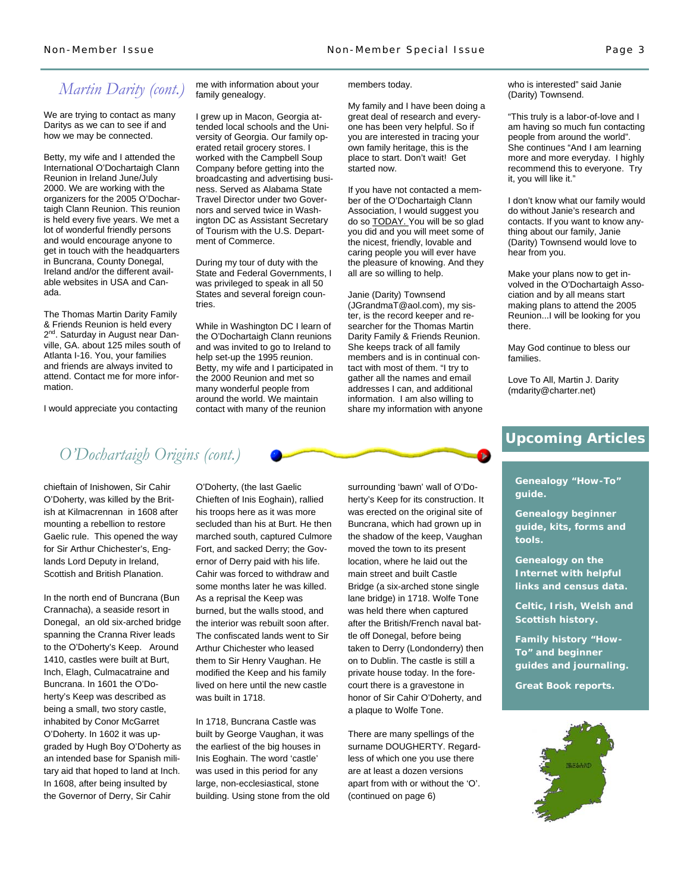#### *Martin Darity (cont.)*

We are trying to contact as many Daritys as we can to see if and how we may be connected.

Betty, my wife and I attended the International O'Dochartaigh Clann Reunion in Ireland June/July 2000. We are working with the organizers for the 2005 O'Dochartaigh Clann Reunion. This reunion is held every five years. We met a lot of wonderful friendly persons and would encourage anyone to get in touch with the headquarters in Buncrana, County Donegal, Ireland and/or the different available websites in USA and Canada.

The Thomas Martin Darity Family & Friends Reunion is held every 2<sup>nd</sup>. Saturday in August near Danville, GA. about 125 miles south of Atlanta I-16. You, your families and friends are always invited to attend. Contact me for more information.

I would appreciate you contacting

me with information about your family genealogy.

I grew up in Macon, Georgia attended local schools and the University of Georgia. Our family operated retail grocery stores. I worked with the Campbell Soup Company before getting into the broadcasting and advertising business. Served as Alabama State Travel Director under two Governors and served twice in Washington DC as Assistant Secretary of Tourism with the U.S. Department of Commerce.

During my tour of duty with the State and Federal Governments, I was privileged to speak in all 50 States and several foreign countries.

While in Washington DC I learn of the O'Dochartaigh Clann reunions and was invited to go to Ireland to help set-up the 1995 reunion. Betty, my wife and I participated in the 2000 Reunion and met so many wonderful people from around the world. We maintain contact with many of the reunion

#### members today.

My family and I have been doing a great deal of research and everyone has been very helpful. So if you are interested in tracing your own family heritage, this is the place to start. Don't wait! Get started now.

If you have not contacted a member of the O'Dochartaigh Clann Association, I would suggest you do so TODAY. You will be so glad you did and you will meet some of the nicest, friendly, lovable and caring people you will ever have the pleasure of knowing. And they all are so willing to help.

Janie (Darity) Townsend (JGrandmaT@aol.com), my sister, is the record keeper and researcher for the Thomas Martin Darity Family & Friends Reunion. She keeps track of all family members and is in continual contact with most of them. "I try to gather all the names and email addresses I can, and additional information. I am also willing to share my information with anyone

 $\blacktriangleright$ 

who is interested" said Janie (Darity) Townsend.

"This truly is a labor-of-love and I am having so much fun contacting people from around the world". She continues "And I am learning more and more everyday. I highly recommend this to everyone. Try it, you will like it."

I don't know what our family would do without Janie's research and contacts. If you want to know anything about our family, Janie (Darity) Townsend would love to hear from you.

Make your plans now to get involved in the O'Dochartaigh Association and by all means start making plans to attend the 2005 Reunion...I will be looking for you there.

May God continue to bless our families.

Love To All, Martin J. Darity (mdarity@charter.net)

#### **Upcoming Articles**

#### **Genealogy "How-To" guide.**

**Genealogy beginner guide, kits, forms and tools.** 

**Genealogy on the Internet with helpful links and census data.** 

**Celtic, Irish, Welsh and Scottish history.** 

**Family history "How-To" and beginner guides and journaling.** 

**Great Book reports.** 



#### *O'Dochartaigh Origins (cont.)*

chieftain of Inishowen, Sir Cahir O'Doherty, was killed by the British at Kilmacrennan in 1608 after mounting a rebellion to restore Gaelic rule. This opened the way for Sir Arthur Chichester's, Englands Lord Deputy in Ireland, Scottish and British Planation.

In the north end of Buncrana (Bun Crannacha), a seaside resort in Donegal, an old six-arched bridge spanning the Cranna River leads to the O'Doherty's Keep. Around 1410, castles were built at Burt, Inch, Elagh, Culmacatraine and Buncrana. In 1601 the O'Doherty's Keep was described as being a small, two story castle, inhabited by Conor McGarret O'Doherty. In 1602 it was upgraded by Hugh Boy O'Doherty as an intended base for Spanish military aid that hoped to land at Inch. In 1608, after being insulted by the Governor of Derry, Sir Cahir

O'Doherty, (the last Gaelic Chieften of Inis Eoghain), rallied his troops here as it was more secluded than his at Burt. He then marched south, captured Culmore Fort, and sacked Derry; the Governor of Derry paid with his life. Cahir was forced to withdraw and some months later he was killed. As a reprisal the Keep was burned, but the walls stood, and the interior was rebuilt soon after. The confiscated lands went to Sir Arthur Chichester who leased them to Sir Henry Vaughan. He modified the Keep and his family lived on here until the new castle was built in 1718.

In 1718, Buncrana Castle was built by George Vaughan, it was the earliest of the big houses in Inis Eoghain. The word 'castle' was used in this period for any large, non-ecclesiastical, stone building. Using stone from the old



There are many spellings of the surname DOUGHERTY. Regardless of which one you use there are at least a dozen versions apart from with or without the 'O'. (continued on page 6)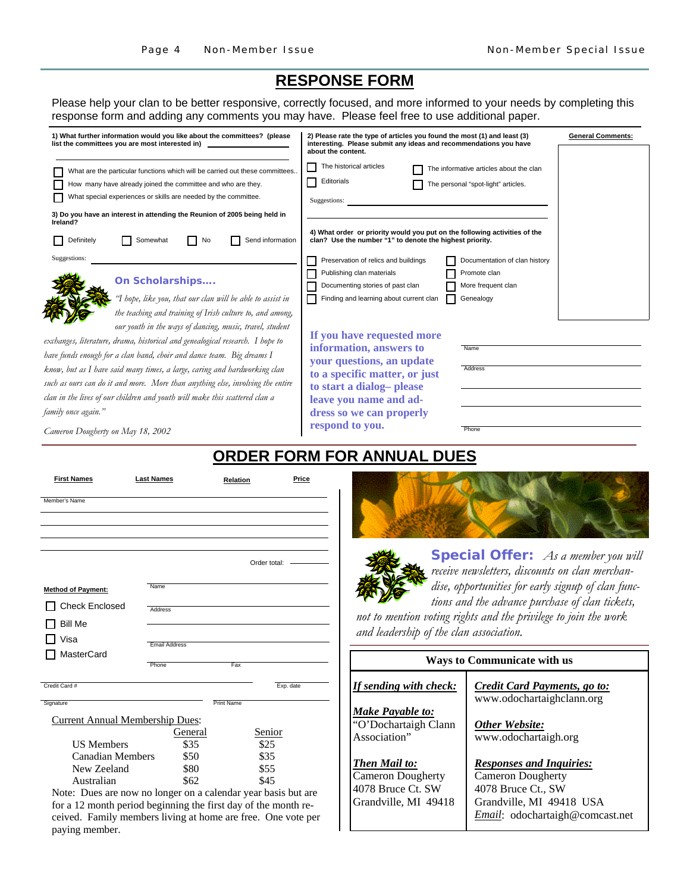#### **RESPONSE FORM**

Please help your clan to be better responsive, correctly focused, and more informed to your needs by completing this response form and adding any comments you may have. Please feel free to use additional paper.

| 1) What further information would you like about the committees? (please<br>list the committees you are most interested in)                                                                                                                                                                                                                                                                                                                                                                                                  | 2) Please rate the type of articles you found the most (1) and least (3)<br>interesting. Please submit any ideas and recommendations you have                                                                                                                                                                  | <b>General Comments:</b> |
|------------------------------------------------------------------------------------------------------------------------------------------------------------------------------------------------------------------------------------------------------------------------------------------------------------------------------------------------------------------------------------------------------------------------------------------------------------------------------------------------------------------------------|----------------------------------------------------------------------------------------------------------------------------------------------------------------------------------------------------------------------------------------------------------------------------------------------------------------|--------------------------|
| What are the particular functions which will be carried out these committees<br>How many have already joined the committee and who are they.<br>What special experiences or skills are needed by the committee.<br>3) Do you have an interest in attending the Reunion of 2005 being held in<br>Ireland?<br>Definitely<br>Somewhat<br>Send information<br>No                                                                                                                                                                 | about the content.<br>The historical articles<br>The informative articles about the clan<br>Editorials<br>l 1<br>The personal "spot-light" articles.<br>Suggestions:<br>4) What order or priority would you put on the following activities of the<br>clan? Use the number "1" to denote the highest priority. |                          |
| Suggestions:<br><b>On Scholarships</b><br>'I hope, like you, that our clan will be able to assist in<br>the teaching and training of Irish culture to, and among,                                                                                                                                                                                                                                                                                                                                                            | Preservation of relics and buildings<br>Documentation of clan history<br>Publishing clan materials<br>Promote clan<br>Documenting stories of past clan<br>More frequent clan<br>Finding and learning about current clan<br>Genealogy                                                                           |                          |
| our youth in the ways of dancing, music, travel, student<br>exchanges, literature, drama, historical and genealogical research. I hope to<br>have funds enough for a clan band, choir and dance team. Big dreams I<br>know, but as I have said many times, a large, caring and hardworking clan<br>such as ours can do it and more. More than anything else, involving the entire<br>clan in the lives of our children and youth will make this scattered clan a<br>family once again."<br>Cameron Dougherty on May 18, 2002 | If you have requested more<br>information, answers to<br>Name<br>your questions, an update<br>Address<br>to a specific matter, or just<br>to start a dialog-please<br>leave you name and ad-<br>dress so we can properly<br>respond to you.<br>Phone                                                           |                          |

#### **ORDER FORM FOR ANNUAL DUES**

| <b>First Names</b>                                                            | <b>Last Names</b>    | Relation          | Price                  |
|-------------------------------------------------------------------------------|----------------------|-------------------|------------------------|
| Member's Name                                                                 |                      |                   |                        |
|                                                                               |                      |                   |                        |
|                                                                               |                      |                   |                        |
|                                                                               |                      |                   |                        |
|                                                                               |                      |                   |                        |
|                                                                               |                      |                   |                        |
|                                                                               | Name                 |                   |                        |
| <b>Method of Payment:</b>                                                     |                      |                   |                        |
| □ Check Enclosed                                                              | <b>Address</b>       |                   |                        |
| <b>Bill Me</b>                                                                |                      |                   |                        |
| Visa                                                                          |                      |                   |                        |
| MasterCard                                                                    | <b>Email Address</b> |                   |                        |
|                                                                               | Phone                | Fax               |                        |
|                                                                               |                      |                   |                        |
| Credit Card #                                                                 |                      |                   | Exp. date              |
| Signature                                                                     |                      | <b>Print Name</b> |                        |
| <b>Current Annual Membership Dues:</b>                                        |                      |                   |                        |
|                                                                               | General              |                   | <u>Senior</u>          |
| $\mathbf{r}$ $\mathbf{r}$ $\mathbf{r}$ $\mathbf{r}$ $\mathbf{r}$ $\mathbf{r}$ | $\wedge \wedge$ $=$  |                   | $\wedge$ $\sim$ $\sim$ |

| <b>US Members</b>       | \$35 | \$25 |
|-------------------------|------|------|
| <b>Canadian Members</b> | \$50 | \$35 |
| New Zeeland             | \$80 | \$55 |
| Australian              | \$62 | \$45 |

Note: Dues are now no longer on a calendar year basis but are for a 12 month period beginning the first day of the month received. Family members living at home are free. One vote per paying member.





**Special Offer:** *As a member you will receive newsletters, discounts on clan merchandise, opportunities for early signup of clan functions and the advance purchase of clan tickets,* 

*not to mention voting rights and the privilege to join the work and leadership of the clan association.* 

| <b>Ways to Communicate with us</b>                                                            |                                                                                                                                                                |  |
|-----------------------------------------------------------------------------------------------|----------------------------------------------------------------------------------------------------------------------------------------------------------------|--|
| <b>If sending with check:</b>                                                                 | Credit Card Payments, go to:<br>www.odochartaighclann.org                                                                                                      |  |
| <b>Make Payable to:</b><br>"O'Dochartaigh Clann<br>Association"                               | <b>Other Website:</b><br>www.odochartaigh.org                                                                                                                  |  |
| <b>Then Mail to:</b><br><b>Cameron Dougherty</b><br>4078 Bruce Ct. SW<br>Grandville, MI 49418 | <i><b>Responses and Inquiries:</b></i><br><b>Cameron Dougherty</b><br>4078 Bruce Ct., SW<br>Grandville, MI 49418 USA<br><i>Email:</i> odochartaigh@comcast.net |  |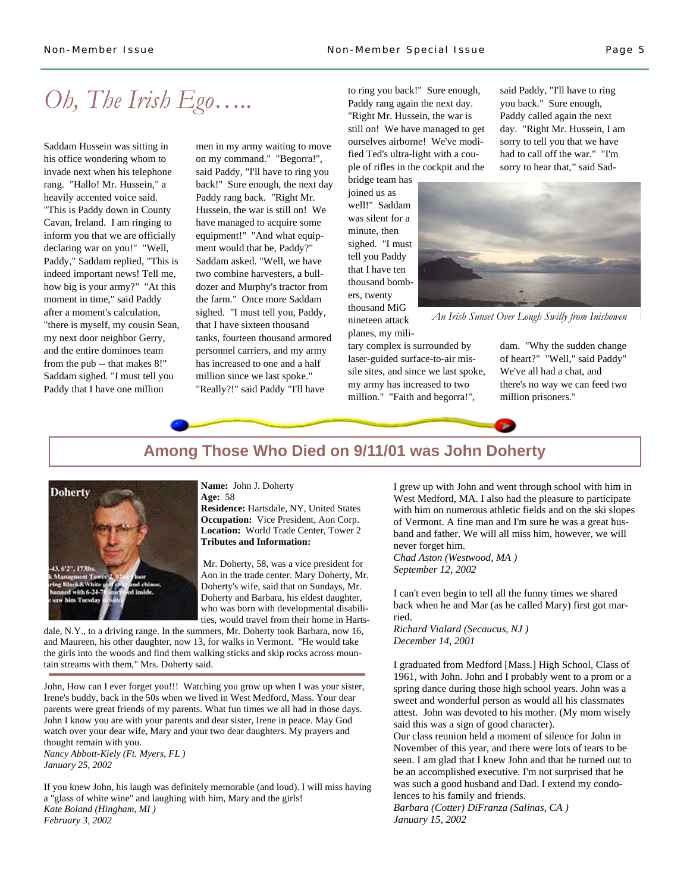### *Oh, The Irish Ego…..*

Saddam Hussein was sitting in his office wondering whom to invade next when his telephone rang. "Hallo! Mr. Hussein," a heavily accented voice said. "This is Paddy down in County Cavan, Ireland. I am ringing to inform you that we are officially declaring war on you!" "Well, Paddy," Saddam replied, "This is indeed important news! Tell me, how big is your army?" "At this moment in time," said Paddy after a moment's calculation, "there is myself, my cousin Sean, my next door neighbor Gerry, and the entire dominoes team from the pub -- that makes 8!" Saddam sighed. "I must tell you Paddy that I have one million

men in my army waiting to move on my command." "Begorra!", said Paddy, "I'll have to ring you back!" Sure enough, the next day Paddy rang back. "Right Mr. Hussein, the war is still on! We have managed to acquire some equipment!" "And what equipment would that be, Paddy?" Saddam asked. "Well, we have two combine harvesters, a bulldozer and Murphy's tractor from the farm." Once more Saddam sighed. "I must tell you, Paddy, that I have sixteen thousand tanks, fourteen thousand armored personnel carriers, and my army has increased to one and a half million since we last spoke." "Really?!" said Paddy "I'll have

to ring you back!" Sure enough, Paddy rang again the next day. "Right Mr. Hussein, the war is still on! We have managed to get ourselves airborne! We've modified Ted's ultra-light with a couple of rifles in the cockpit and the

bridge team has joined us as well!" Saddam was silent for a minute, then sighed. "I must tell you Paddy that I have ten thousand bombers, twenty thousand MiG nineteen attack

planes, my military complex is surrounded by laser-guided surface-to-air missile sites, and since we last spoke, my army has increased to two million." "Faith and begorra!",

said Paddy, "I'll have to ring you back." Sure enough, Paddy called again the next day. "Right Mr. Hussein, I am sorry to tell you that we have had to call off the war." "I'm sorry to hear that," said Sad-



*An Irish Sunset Over Lough Swilly from Inishowen* 

dam. "Why the sudden change of heart?" "Well," said Paddy" We've all had a chat, and there's no way we can feed two million prisoners."





**Name:** John J. Doherty

**Age:** 58 **Residence:** Hartsdale, NY, United States **Occupation:** Vice President, Aon Corp. **Location:** World Trade Center, Tower 2 **Tributes and Information:** 

 Mr. Doherty, 58, was a vice president for Aon in the trade center. Mary Doherty, Mr. Doherty's wife, said that on Sundays, Mr. Doherty and Barbara, his eldest daughter, who was born with developmental disabilities, would travel from their home in Harts-

dale, N.Y., to a driving range. In the summers, Mr. Doherty took Barbara, now 16, and Maureen, his other daughter, now 13, for walks in Vermont. "He would take the girls into the woods and find them walking sticks and skip rocks across mountain streams with them," Mrs. Doherty said.

John, How can I ever forget you!!! Watching you grow up when I was your sister, Irene's buddy, back in the 50s when we lived in West Medford, Mass. Your dear parents were great friends of my parents. What fun times we all had in those days. John I know you are with your parents and dear sister, Irene in peace. May God watch over your dear wife, Mary and your two dear daughters. My prayers and thought remain with you. *Nancy Abbott-Kiely (Ft. Myers, FL ) January 25, 2002*

If you knew John, his laugh was definitely memorable (and loud). I will miss having a "glass of white wine" and laughing with him, Mary and the girls! *Kate Boland (Hingham, MI ) February 3, 2002*

I grew up with John and went through school with him in West Medford, MA. I also had the pleasure to participate with him on numerous athletic fields and on the ski slopes of Vermont. A fine man and I'm sure he was a great husband and father. We will all miss him, however, we will never forget him. *Chad Aston (Westwood, MA ) September 12, 2002* 

I can't even begin to tell all the funny times we shared back when he and Mar (as he called Mary) first got married.

*Richard Vialard (Secaucus, NJ ) December 14, 2001*

I graduated from Medford [Mass.] High School, Class of 1961, with John. John and I probably went to a prom or a spring dance during those high school years. John was a sweet and wonderful person as would all his classmates attest. John was devoted to his mother. (My mom wisely said this was a sign of good character).

Our class reunion held a moment of silence for John in November of this year, and there were lots of tears to be seen. I am glad that I knew John and that he turned out to be an accomplished executive. I'm not surprised that he was such a good husband and Dad. I extend my condolences to his family and friends.

*Barbara (Cotter) DiFranza (Salinas, CA ) January 15, 2002*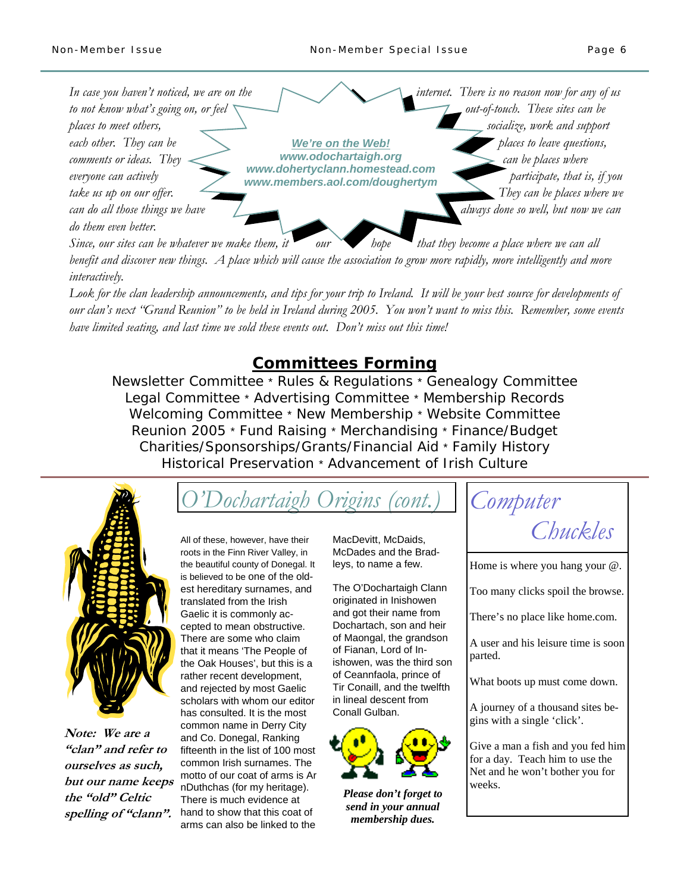

benefit and discover new things. A place which will cause the association to grow more rapidly, more intelligently and more *interactively.* 

*Look for the clan leadership announcements, and tips for your trip to Ireland. It will be your best source for developments of our clan's next "Grand Reunion" to be held in Ireland during 2005. You won't want to miss this. Remember, some events have limited seating, and last time we sold these events out. Don't miss out this time!* 

#### **Committees Forming**

Newsletter Committee \* Rules & Regulations \* Genealogy Committee Legal Committee \* Advertising Committee \* Membership Records Welcoming Committee \* New Membership \* Website Committee Reunion 2005 \* Fund Raising \* Merchandising \* Finance/Budget Charities/Sponsorships/Grants/Financial Aid \* Family History Historical Preservation \* Advancement of Irish Culture

*O'Dochartaigh Origins (cont.)* 



**Note: We are a "clan" and refer to ourselves as such, but our name keeps the "old" Celtic spelling of "clann".** 

All of these, however, have their roots in the Finn River Valley, in the beautiful county of Donegal. It is believed to be one of the oldest hereditary surnames, and translated from the Irish Gaelic it is commonly accepted to mean obstructive. There are some who claim that it means 'The People of the Oak Houses', but this is a rather recent development, and rejected by most Gaelic scholars with whom our editor has consulted. It is the most common name in Derry City and Co. Donegal, Ranking fifteenth in the list of 100 most common Irish surnames. The motto of our coat of arms is Ar nDuthchas (for my heritage). There is much evidence at hand to show that this coat of arms can also be linked to the

MacDevitt, McDaids, McDades and the Bradleys, to name a few.

The O'Dochartaigh Clann originated in Inishowen and got their name from Dochartach, son and heir of Maongal, the grandson of Fianan, Lord of Inishowen, was the third son of Ceannfaola, prince of Tir Conaill, and the twelfth in lineal descent from Conall Gulban.



*Please don't forget to send in your annual membership dues.* 

*Computer Chuckles* 

Home is where you hang your @.

Too many clicks spoil the browse.

There's no place like home.com.

A user and his leisure time is soon parted.

What boots up must come down.

A journey of a thousand sites begins with a single 'click'.

Give a man a fish and you fed him for a day. Teach him to use the Net and he won't bother you for weeks.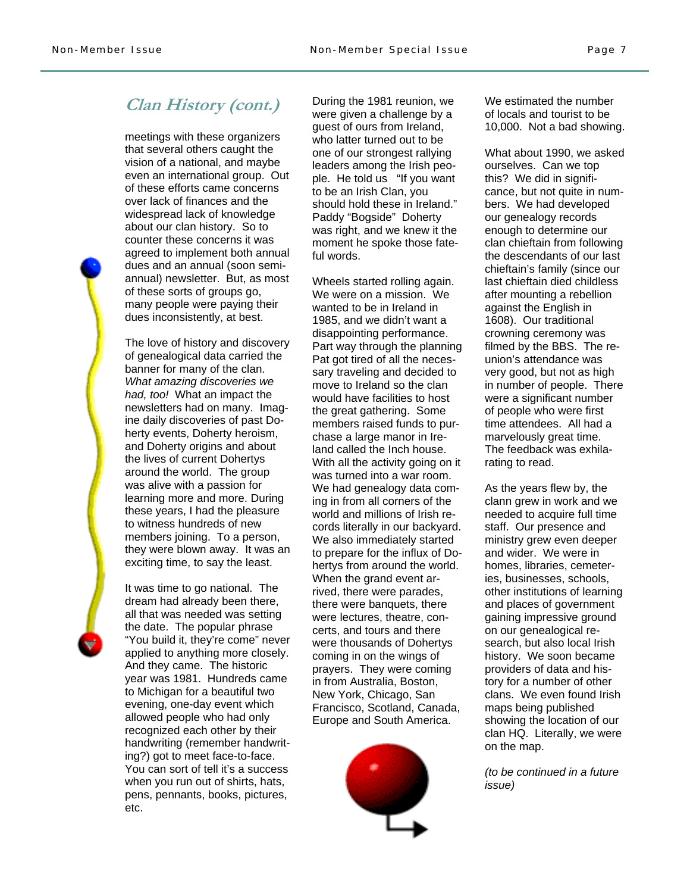#### **Clan History (cont.)**

meetings with these organizers that several others caught the vision of a national, and maybe even an international group. Out of these efforts came concerns over lack of finances and the widespread lack of knowledge about our clan history. So to counter these concerns it was agreed to implement both annual dues and an annual (soon semiannual) newsletter. But, as most of these sorts of groups go, many people were paying their dues inconsistently, at best.

The love of history and discovery of genealogical data carried the banner for many of the clan. *What amazing discoveries we had, too!* What an impact the newsletters had on many. Imagine daily discoveries of past Doherty events, Doherty heroism, and Doherty origins and about the lives of current Dohertys around the world. The group was alive with a passion for learning more and more. During these years, I had the pleasure to witness hundreds of new members joining. To a person, they were blown away. It was an exciting time, to say the least.

It was time to go national. The dream had already been there, all that was needed was setting the date. The popular phrase "You build it, they're come" never applied to anything more closely. And they came. The historic year was 1981. Hundreds came to Michigan for a beautiful two evening, one-day event which allowed people who had only recognized each other by their handwriting (remember handwriting?) got to meet face-to-face. You can sort of tell it's a success when you run out of shirts, hats, pens, pennants, books, pictures, etc.

During the 1981 reunion, we were given a challenge by a guest of ours from Ireland, who latter turned out to be one of our strongest rallying leaders among the Irish people. He told us "If you want to be an Irish Clan, you should hold these in Ireland." Paddy "Bogside" Doherty was right, and we knew it the moment he spoke those fateful words.

Wheels started rolling again. We were on a mission. We wanted to be in Ireland in 1985, and we didn't want a disappointing performance. Part way through the planning Pat got tired of all the necessary traveling and decided to move to Ireland so the clan would have facilities to host the great gathering. Some members raised funds to purchase a large manor in Ireland called the Inch house. With all the activity going on it was turned into a war room. We had genealogy data coming in from all corners of the world and millions of Irish records literally in our backyard. We also immediately started to prepare for the influx of Dohertys from around the world. When the grand event arrived, there were parades, there were banquets, there were lectures, theatre, concerts, and tours and there were thousands of Dohertys coming in on the wings of prayers. They were coming in from Australia, Boston, New York, Chicago, San Francisco, Scotland, Canada, Europe and South America.



We estimated the number of locals and tourist to be 10,000. Not a bad showing.

What about 1990, we asked ourselves. Can we top this? We did in significance, but not quite in numbers. We had developed our genealogy records enough to determine our clan chieftain from following the descendants of our last chieftain's family (since our last chieftain died childless after mounting a rebellion against the English in 1608). Our traditional crowning ceremony was filmed by the BBS. The reunion's attendance was very good, but not as high in number of people. There were a significant number of people who were first time attendees. All had a marvelously great time. The feedback was exhilarating to read.

As the years flew by, the clann grew in work and we needed to acquire full time staff. Our presence and ministry grew even deeper and wider. We were in homes, libraries, cemeteries, businesses, schools, other institutions of learning and places of government gaining impressive ground on our genealogical research, but also local Irish history. We soon became providers of data and history for a number of other clans. We even found Irish maps being published showing the location of our clan HQ. Literally, we were on the map.

*(to be continued in a future issue)*